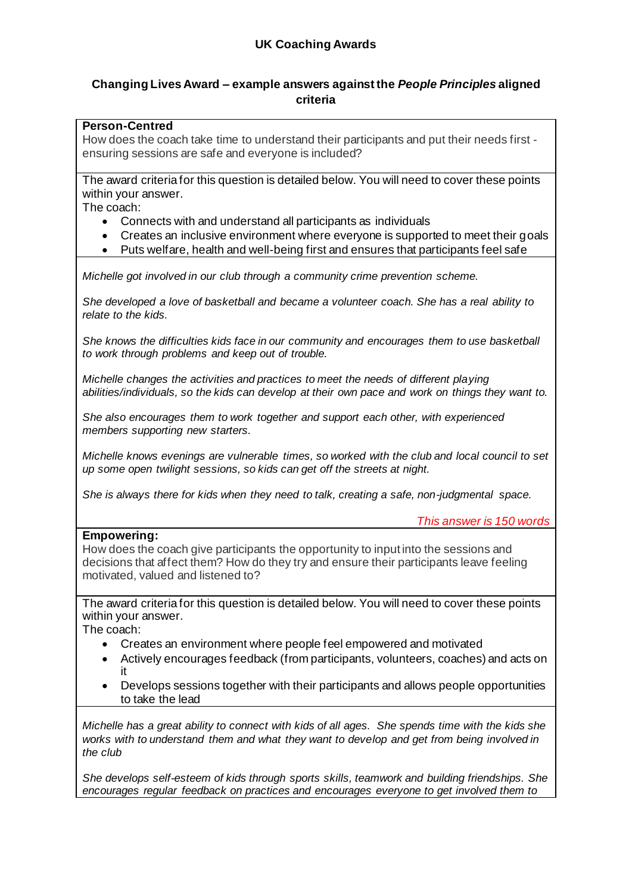# **Changing Lives Award – example answers against the** *People Principles* **aligned criteria**

## **Person-Centred**

How does the coach take time to understand their participants and put their needs first ensuring sessions are safe and everyone is included?

The award criteria for this question is detailed below. You will need to cover these points within your answer.

The coach:

- Connects with and understand all participants as individuals
- Creates an inclusive environment where everyone is supported to meet their goals
- Puts welfare, health and well-being first and ensures that participants feel safe

*Michelle got involved in our club through a community crime prevention scheme.*

*She developed a love of basketball and became a volunteer coach. She has a real ability to relate to the kids.*

*She knows the difficulties kids face in our community and encourages them to use basketball to work through problems and keep out of trouble.* 

*Michelle changes the activities and practices to meet the needs of different playing abilities/individuals, so the kids can develop at their own pace and work on things they want to.* 

*She also encourages them to work together and support each other, with experienced members supporting new starters.*

*Michelle knows evenings are vulnerable times, so worked with the club and local council to set up some open twilight sessions, so kids can get off the streets at night.*

*She is always there for kids when they need to talk, creating a safe, non-judgmental space.*

*This answer is 150 words*

#### **Empowering:**

How does the coach give participants the opportunity to input into the sessions and decisions that affect them? How do they try and ensure their participants leave feeling motivated, valued and listened to?

The award criteria for this question is detailed below. You will need to cover these points within your answer.

The coach:

- Creates an environment where people feel empowered and motivated
- Actively encourages feedback (from participants, volunteers, coaches) and acts on it
- Develops sessions together with their participants and allows people opportunities to take the lead

*Michelle has a great ability to connect with kids of all ages. She spends time with the kids she works with to understand them and what they want to develop and get from being involved in the club*

*She develops self-esteem of kids through sports skills, teamwork and building friendships. She encourages regular feedback on practices and encourages everyone to get involved them to*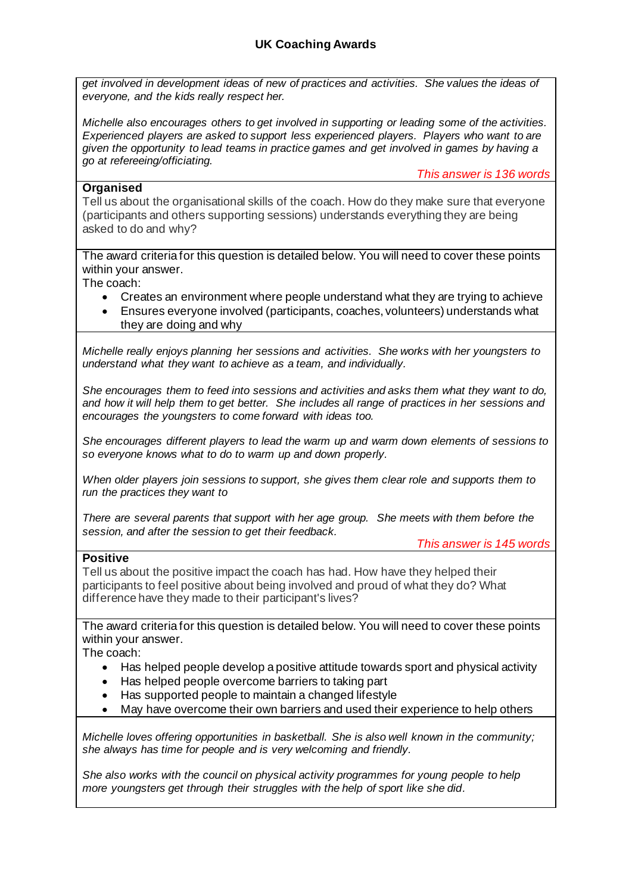# **UK Coaching Awards**

*get involved in development ideas of new of practices and activities. She values the ideas of everyone, and the kids really respect her.* 

*Michelle also encourages others to get involved in supporting or leading some of the activities. Experienced players are asked to support less experienced players. Players who want to are given the opportunity to lead teams in practice games and get involved in games by having a go at refereeing/officiating.*

*This answer is 136 words*

### **Organised**

Tell us about the organisational skills of the coach. How do they make sure that everyone (participants and others supporting sessions) understands everything they are being asked to do and why?

The award criteria for this question is detailed below. You will need to cover these points within your answer.

The coach:

- Creates an environment where people understand what they are trying to achieve
- Ensures everyone involved (participants, coaches, volunteers) understands what they are doing and why

*Michelle really enjoys planning her sessions and activities. She works with her youngsters to understand what they want to achieve as a team, and individually.*

*She encourages them to feed into sessions and activities and asks them what they want to do, and how it will help them to get better. She includes all range of practices in her sessions and encourages the youngsters to come forward with ideas too.*

*She encourages different players to lead the warm up and warm down elements of sessions to so everyone knows what to do to warm up and down properly.*

*When older players join sessions to support, she gives them clear role and supports them to run the practices they want to*

*There are several parents that support with her age group. She meets with them before the session, and after the session to get their feedback.*

*This answer is 145 words*

#### **Positive**

Tell us about the positive impact the coach has had. How have they helped their participants to feel positive about being involved and proud of what they do? What difference have they made to their participant's lives?

The award criteria for this question is detailed below. You will need to cover these points within your answer.

The coach:

- Has helped people develop a positive attitude towards sport and physical activity
- Has helped people overcome barriers to taking part
- Has supported people to maintain a changed lifestyle
- May have overcome their own barriers and used their experience to help others

*Michelle loves offering opportunities in basketball. She is also well known in the community; she always has time for people and is very welcoming and friendly.* 

*She also works with the council on physical activity programmes for young people to help more youngsters get through their struggles with the help of sport like she did.*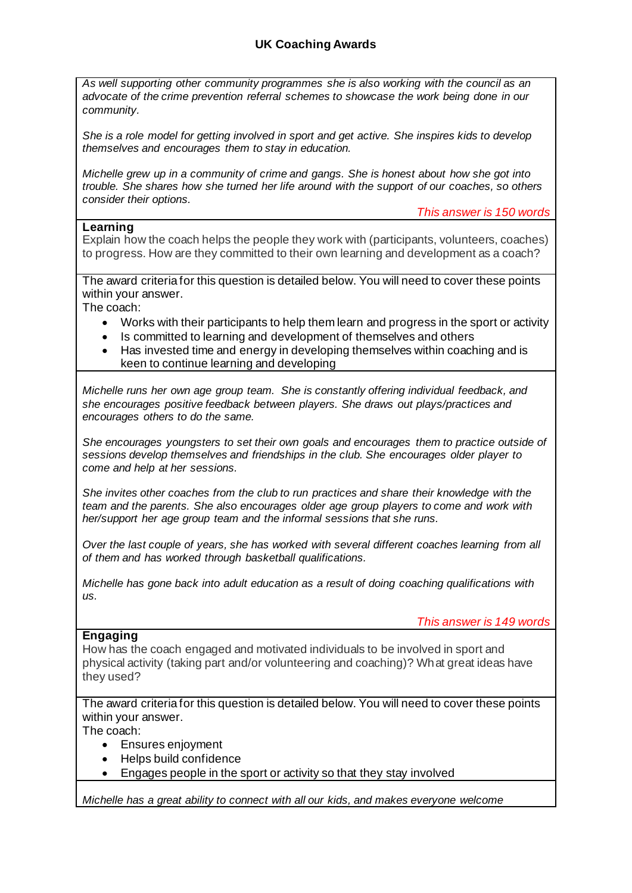*As well supporting other community programmes she is also working with the council as an advocate of the crime prevention referral schemes to showcase the work being done in our community.*

*She is a role model for getting involved in sport and get active. She inspires kids to develop themselves and encourages them to stay in education.*

*Michelle grew up in a community of crime and gangs. She is honest about how she got into trouble. She shares how she turned her life around with the support of our coaches, so others consider their options.*

*This answer is 150 words*

### **Learning**

Explain how the coach helps the people they work with (participants, volunteers, coaches) to progress. How are they committed to their own learning and development as a coach?

The award criteria for this question is detailed below. You will need to cover these points within your answer.

The coach:

- Works with their participants to help them learn and progress in the sport or activity
- Is committed to learning and development of themselves and others
- Has invested time and energy in developing themselves within coaching and is keen to continue learning and developing

*Michelle runs her own age group team. She is constantly offering individual feedback, and she encourages positive feedback between players. She draws out plays/practices and encourages others to do the same.*

*She encourages youngsters to set their own goals and encourages them to practice outside of sessions develop themselves and friendships in the club. She encourages older player to come and help at her sessions.*

*She invites other coaches from the club to run practices and share their knowledge with the team and the parents. She also encourages older age group players to come and work with her/support her age group team and the informal sessions that she runs.*

*Over the last couple of years, she has worked with several different coaches learning from all of them and has worked through basketball qualifications.* 

*Michelle has gone back into adult education as a result of doing coaching qualifications with us.*

*This answer is 149 words*

#### **Engaging**

How has the coach engaged and motivated individuals to be involved in sport and physical activity (taking part and/or volunteering and coaching)? What great ideas have they used?

The award criteria for this question is detailed below. You will need to cover these points within your answer.

The coach:

- Ensures enjoyment
- Helps build confidence
- Engages people in the sport or activity so that they stay involved

*Michelle has a great ability to connect with all our kids, and makes everyone welcome*